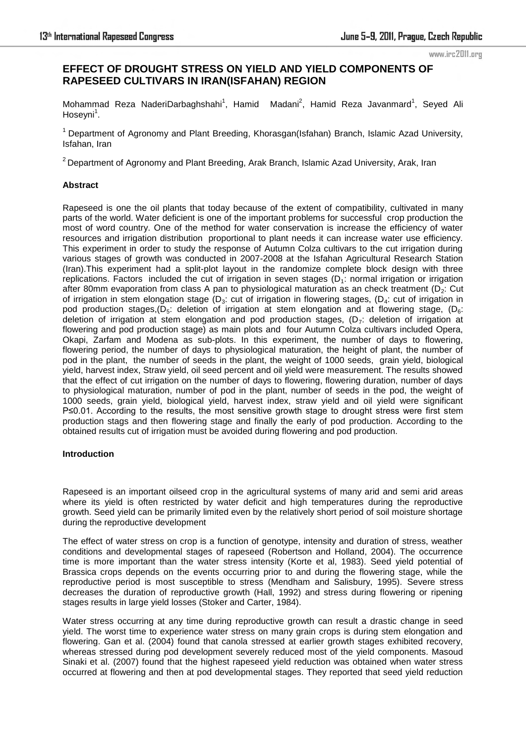# www.irc2011.org

# **EFFECT OF DROUGHT STRESS ON YIELD AND YIELD COMPONENTS OF RAPESEED CULTIVARS IN IRAN(ISFAHAN) REGION**

Mohammad Reza NaderiDarbaghshahi<sup>1</sup>, Hamid Madani<sup>2</sup>, Hamid Reza Javanmard<sup>1</sup>, Seyed Ali Hoseyni<sup>1</sup>.

<sup>1</sup> Department of Agronomy and Plant Breeding, Khorasgan(Isfahan) Branch, Islamic Azad University, Isfahan, Iran

 $2$  Department of Agronomy and Plant Breeding, Arak Branch, Islamic Azad University, Arak, Iran

## **Abstract**

Rapeseed is one the oil plants that today because of the extent of compatibility, cultivated in many parts of the world. Water deficient is one of the important problems for successful crop production the most of word country. One of the method for water conservation is increase the efficiency of water resources and irrigation distribution proportional to plant needs it can increase water use efficiency. This experiment in order to study the response of Autumn Colza cultivars to the cut irrigation during various stages of growth was conducted in 2007-2008 at the Isfahan Agricultural Research Station (Iran).This experiment had a split-plot layout in the randomize complete block design with three replications. Factors included the cut of irrigation in seven stages ( $D_1$ : normal irrigation or irrigation after 80mm evaporation from class A pan to physiological maturation as an check treatment ( $D_2$ : Cut of irrigation in stem elongation stage ( $D_3$ : cut of irrigation in flowering stages, ( $D_4$ : cut of irrigation in pod production stages,( $D_5$ : deletion of irrigation at stem elongation and at flowering stage, ( $D_6$ : deletion of irrigation at stem elongation and pod production stages, ( $D<sub>7</sub>$ : deletion of irrigation at flowering and pod production stage) as main plots and four Autumn Colza cultivars included Opera, Okapi, Zarfam and Modena as sub-plots. In this experiment, the number of days to flowering, flowering period, the number of days to physiological maturation, the height of plant, the number of pod in the plant, the number of seeds in the plant, the weight of 1000 seeds, grain yield, biological yield, harvest index, Straw yield, oil seed percent and oil yield were measurement. The results showed that the effect of cut irrigation on the number of days to flowering, flowering duration, number of days to physiological maturation, number of pod in the plant, number of seeds in the pod, the weight of 1000 seeds, grain yield, biological yield, harvest index, straw yield and oil yield were significant P≤0.01. According to the results, the most sensitive growth stage to drought stress were first stem production stags and then flowering stage and finally the early of pod production. According to the obtained results cut of irrigation must be avoided during flowering and pod production.

# **Introduction**

Rapeseed is an important oilseed crop in the agricultural systems of many arid and semi arid areas where its yield is often restricted by water deficit and high temperatures during the reproductive growth. Seed yield can be primarily limited even by the relatively short period of soil moisture shortage during the reproductive development

The effect of water stress on crop is a function of genotype, intensity and duration of stress, weather conditions and developmental stages of rapeseed (Robertson and Holland, 2004). The occurrence time is more important than the water stress intensity (Korte et al, 1983). Seed yield potential of Brassica crops depends on the events occurring prior to and during the flowering stage, while the reproductive period is most susceptible to stress (Mendham and Salisbury, 1995). Severe stress decreases the duration of reproductive growth (Hall, 1992) and stress during flowering or ripening stages results in large yield losses (Stoker and Carter, 1984).

Water stress occurring at any time during reproductive growth can result a drastic change in seed yield. The worst time to experience water stress on many grain crops is during stem elongation and flowering. Gan et al. (2004) found that canola stressed at earlier growth stages exhibited recovery, whereas stressed during pod development severely reduced most of the yield components. Masoud Sinaki et al. (2007) found that the highest rapeseed yield reduction was obtained when water stress occurred at flowering and then at pod developmental stages. They reported that seed yield reduction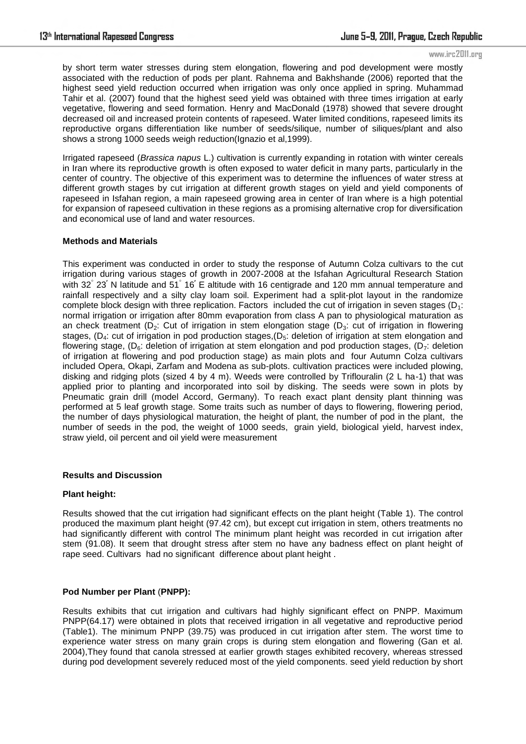#### www.irc2011.org

by short term water stresses during stem elongation, flowering and pod development were mostly associated with the reduction of pods per plant. Rahnema and Bakhshande (2006) reported that the highest seed yield reduction occurred when irrigation was only once applied in spring. Muhammad Tahir et al. (2007) found that the highest seed yield was obtained with three times irrigation at early vegetative, flowering and seed formation. Henry and MacDonald (1978) showed that severe drought decreased oil and increased protein contents of rapeseed. Water limited conditions, rapeseed limits its reproductive organs differentiation like number of seeds/silique, number of siliques/plant and also shows a strong 1000 seeds weigh reduction(Ignazio et al,1999).

Irrigated rapeseed (*Brassica napus* L.) cultivation is currently expanding in rotation with winter cereals in Iran where its reproductive growth is often exposed to water deficit in many parts, particularly in the center of country. The objective of this experiment was to determine the influences of water stress at different growth stages by cut irrigation at different growth stages on yield and yield components of rapeseed in Isfahan region, a main rapeseed growing area in center of Iran where is a high potential for expansion of rapeseed cultivation in these regions as a promising alternative crop for diversification and economical use of land and water resources.

#### **Methods and Materials**

This experiment was conducted in order to study the response of Autumn Colza cultivars to the cut irrigation during various stages of growth in 2007-2008 at the Isfahan Agricultural Research Station with 32 $\degree$  23' N latitude and 51 $\degree$  16' E altitude with 16 centigrade and 120 mm annual temperature and rainfall respectively and a silty clay loam soil. Experiment had a split-plot layout in the randomize complete block design with three replication. Factors included the cut of irrigation in seven stages ( $D_1$ : normal irrigation or irrigation after 80mm evaporation from class A pan to physiological maturation as an check treatment ( $D_2$ : Cut of irrigation in stem elongation stage ( $D_3$ : cut of irrigation in flowering stages, ( $D_4$ : cut of irrigation in pod production stages,  $(D_5$ : deletion of irrigation at stem elongation and flowering stage,  $(D_6)$ : deletion of irrigation at stem elongation and pod production stages,  $(D_7)$ : deletion of irrigation at flowering and pod production stage) as main plots and four Autumn Colza cultivars included Opera, Okapi, Zarfam and Modena as sub-plots. cultivation practices were included plowing, disking and ridging plots (sized 4 by 4 m). Weeds were controlled by Triflouralin (2 L ha-1) that was applied prior to planting and incorporated into soil by disking. The seeds were sown in plots by Pneumatic grain drill (model Accord, Germany). To reach exact plant density plant thinning was performed at 5 leaf growth stage. Some traits such as number of days to flowering, flowering period, the number of days physiological maturation, the height of plant, the number of pod in the plant, the number of seeds in the pod, the weight of 1000 seeds, grain yield, biological yield, harvest index, straw yield, oil percent and oil yield were measurement

# **Results and Discussion**

# **Plant height:**

Results showed that the cut irrigation had significant effects on the plant height (Table 1). The control produced the maximum plant height (97.42 cm), but except cut irrigation in stem, others treatments no had significantly different with control The minimum plant height was recorded in cut irrigation after stem (91.08). It seem that drought stress after stem no have any badness effect on plant height of rape seed. Cultivars had no significant difference about plant height .

# **Pod Number per Plant** (**PNPP):**

[Results](file:///C:/Documents%20and%20Settings/alena.nakladalova/Local%20Settings/Temporary%20Internet%20Files/ŮľŘŻŘ±/ŮŮ†ŮŘ±Ř§Ů†Řł%20ŮľŘ±Ř§ÚŻ/Effects%20of%20Nitrogen%20and%20Plant%20Density%20on%20Rapeseed%20((I)Brassica%20napus(_I)%20L.)%20Yield%20and%20Yield%20Components%20in%20Southern%20Iran.htm%23t3) exhibits that cut irrigation and cultivars had highly significant effect on PNPP. Maximum PNPP(64.17) were obtained in plots that received irrigation in all vegetative and reproductive period (Table1). The minimum PNPP (39.75) was produced in cut irrigation after stem. The worst time to experience water stress on many grain crops is during stem elongation and flowering (Gan et al. 2004),They found that canola stressed at earlier growth stages exhibited recovery, whereas stressed during pod development severely reduced most of the yield components. seed yield reduction by short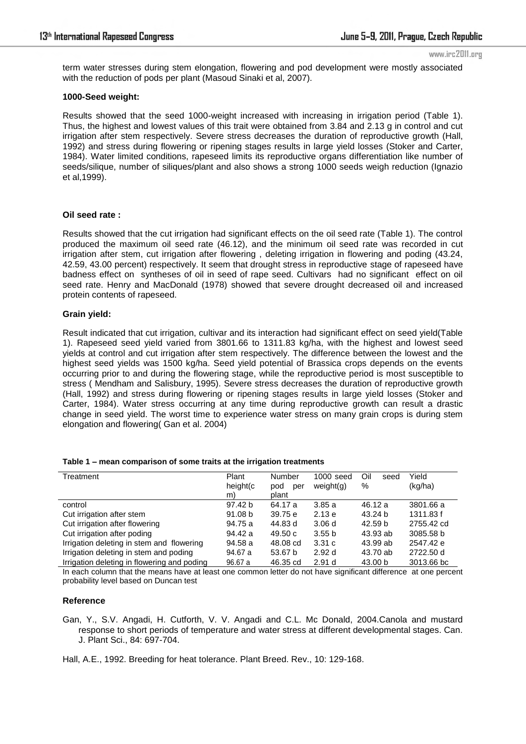www.irc2011.org

term water stresses during stem elongation, flowering and pod development were mostly associated with the reduction of pods per plant (Masoud Sinaki et al, 2007).

#### **1000-Seed weight:**

Results showed that the seed 1000-weight increased with increasing in irrigation period (Table 1). Thus, the highest and lowest values of this trait were obtained from 3.84 and 2.13 g in control and cut irrigation after stem respectively. Severe stress decreases the duration of reproductive growth (Hall, 1992) and stress during flowering or ripening stages results in large yield losses (Stoker and Carter, 1984). Water limited conditions, rapeseed limits its reproductive organs differentiation like number of seeds/silique, number of siliques/plant and also shows a strong 1000 seeds weigh reduction (Ignazio et al,1999).

#### **Oil seed rate :**

Results showed that the cut irrigation had significant effects on the oil seed rate (Table 1). The control produced the maximum oil seed rate (46.12), and the minimum oil seed rate was recorded in cut irrigation after stem, cut irrigation after flowering , deleting irrigation in flowering and poding (43.24, 42.59, 43.00 percent) respectively. It seem that drought stress in reproductive stage of rapeseed have badness effect on syntheses of oil in seed of rape seed. Cultivars had no significant effect on oil seed rate. Henry and MacDonald (1978) showed that severe drought decreased oil and increased protein contents of rapeseed.

# **Grain yield:**

Result indicated that cut irrigation, cultivar and its interaction had significant effect on seed yield(Table 1). Rapeseed seed yield varied from 3801.66 to 1311.83 kg/ha, with the highest and lowest seed yields at control and cut irrigation after stem respectively. The difference between the lowest and the highest seed yields was 1500 kg/ha. Seed yield potential of Brassica crops depends on the events occurring prior to and during the flowering stage, while the reproductive period is most susceptible to stress ( Mendham and Salisbury, 1995). Severe stress decreases the duration of reproductive growth (Hall, 1992) and stress during flowering or ripening stages results in large yield losses (Stoker and Carter, 1984). Water stress occurring at any time during reproductive growth can result a drastic change in seed yield. The worst time to experience water stress on many grain crops is during stem elongation and flowering( Gan et al. 2004)

| Treatment                                   | Plant<br>height(c  | Number<br>pod<br>per | 1000 seed<br>weight(q) | Oil<br>seed<br>% | Yield<br>(kg/ha) |
|---------------------------------------------|--------------------|----------------------|------------------------|------------------|------------------|
|                                             | m)                 | plant                |                        |                  |                  |
| control                                     | 97.42 b            | 64.17 a              | 3.85a                  | 46.12 a          | 3801.66 a        |
| Cut irrigation after stem                   | 91.08 <sub>b</sub> | 39.75 e              | 2.13e                  | 43.24 b          | 1311.83f         |
| Cut irrigation after flowering              | 94.75 a            | 44.83 d              | 3.06d                  | 42.59 b          | 2755.42 cd       |
| Cut irrigation after poding                 | 94.42 a            | 49.50c               | 3.55 <sub>b</sub>      | 43.93 ab         | 3085.58 b        |
| Irrigation deleting in stem and flowering   | 94.58 a            | 48.08 cd             | 3.31c                  | 43.99 ab         | 2547.42 e        |
| Irrigation deleting in stem and poding      | 94.67 a            | 53.67 b              | 2.92d                  | 43.70 ab         | 2722.50 d        |
| Irrigation deleting in flowering and poding | 96.67 a            | 46.35 cd             | 2.91 <sub>d</sub>      | 43.00 b          | 3013.66 bc       |

| Table 1 - mean comparison of some traits at the irrigation treatments |  |  |
|-----------------------------------------------------------------------|--|--|
|                                                                       |  |  |

In each column that the means have at least one common letter do not have significant difference at one percent probability level based on Duncan test

#### **Reference**

Gan, Y., S.V. Angadi, H. Cutforth, V. V. Angadi and C.L. Mc Donald, 2004.Canola and mustard response to short periods of temperature and water stress at different developmental stages. Can. J. Plant Sci., 84: 697-704.

Hall, A.E., 1992. Breeding for heat tolerance. Plant Breed. Rev., 10: 129-168.